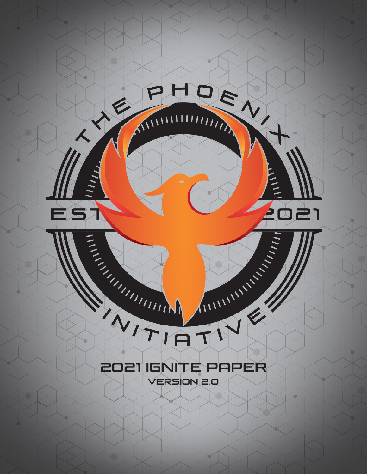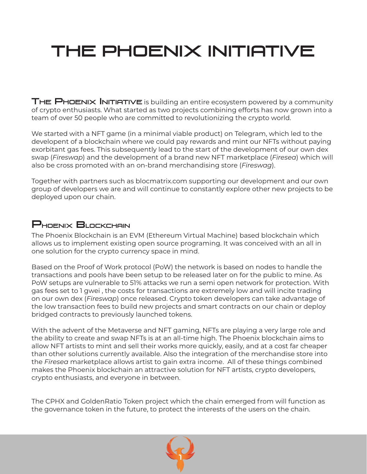# THE PHOENIX INITIATIVE

THE PHOENIX INITIATIVE is building an entire ecosystem powered by a community of crypto enthusiasts. What started as two projects combining efforts has now grown into a team of over 50 people who are committed to revolutionizing the crypto world.

We started with a NFT game (in a minimal viable product) on Telegram, which led to the developent of a blockchain where we could pay rewards and mint our NFTs without paying exorbitant gas fees. This subsequently lead to the start of the development of our own dex swap (*Fireswap*) and the development of a brand new NFT marketplace (*Firesea*) which will also be cross promoted with an on-brand merchandising store (*Fireswag*).

Together with partners such as blocmatrix.com supporting our development and our own group of developers we are and will continue to constantly explore other new projects to be deployed upon our chain.

#### PHOENIX BLOCKCHAIN

The Phoenix Blockchain is an EVM (Ethereum Virtual Machine) based blockchain which allows us to implement existing open source programing. It was conceived with an all in one solution for the crypto currency space in mind.

Based on the Proof of Work protocol (PoW) the network is based on nodes to handle the transactions and pools have been setup to be released later on for the public to mine. As PoW setups are vulnerable to 51% attacks we run a semi open network for protection. With gas fees set to 1 gwei , the costs for transactions are extremely low and will incite trading on our own dex (*Fireswap*) once released. Crypto token developers can take advantage of the low transaction fees to build new projects and smart contracts on our chain or deploy bridged contracts to previously launched tokens.

With the advent of the Metaverse and NFT gaming, NFTs are playing a very large role and the ability to create and swap NFTs is at an all-time high. The Phoenix blockchain aims to allow NFT artists to mint and sell their works more quickly, easily, and at a cost far cheaper than other solutions currently available. Also the integration of the merchandise store into the *Firesea* marketplace allows artist to gain extra income. All of these things combined makes the Phoenix blockchain an attractive solution for NFT artists, crypto developers, crypto enthusiasts, and everyone in between.

The CPHX and GoldenRatio Token project which the chain emerged from will function as the governance token in the future, to protect the interests of the users on the chain.

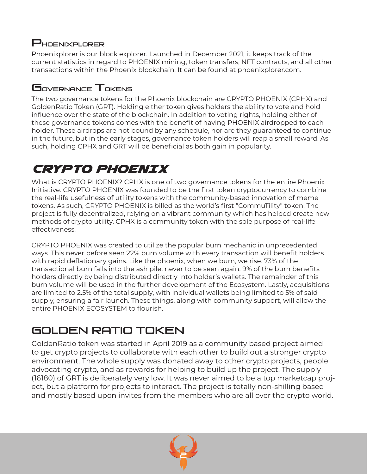#### PHOENIXPLORER

Phoenixplorer is our block explorer. Launched in December 2021, it keeps track of the current statistics in regard to PHOENIX mining, token transfers, NFT contracts, and all other transactions within the Phoenix blockchain. It can be found at phoenixplorer.com.

## Governance Tokens

The two governance tokens for the Phoenix blockchain are CRYPTO PHOENIX (CPHX) and GoldenRatio Token (GRT). Holding either token gives holders the ability to vote and hold influence over the state of the blockchain. In addition to voting rights, holding either of these governance tokens comes with the benefit of having PHOENIX airdropped to each holder. These airdrops are not bound by any schedule, nor are they guaranteed to continue in the future, but in the early stages, governance token holders will reap a small reward. As such, holding CPHX and GRT will be beneficial as both gain in popularity.

# CRYPTO PHOENIX

What is CRYPTO PHOENIX? CPHX is one of two governance tokens for the entire Phoenix Initiative. CRYPTO PHOENIX was founded to be the first token cryptocurrency to combine the real-life usefulness of utility tokens with the community-based innovation of meme tokens. As such, CRYPTO PHOENIX is billed as the world's first "CommuTility" token. The project is fully decentralized, relying on a vibrant community which has helped create new methods of crypto utility. CPHX is a community token with the sole purpose of real-life effectiveness.

CRYPTO PHOENIX was created to utilize the popular burn mechanic in unprecedented ways. This never before seen 22% burn volume with every transaction will benefit holders with rapid deflationary gains. Like the phoenix, when we burn, we rise. 73% of the transactional burn falls into the ash pile, never to be seen again. 9% of the burn benefits holders directly by being distributed directly into holder's wallets. The remainder of this burn volume will be used in the further development of the Ecosystem. Lastly, acquisitions are limited to 2.5% of the total supply, with individual wallets being limited to 5% of said supply, ensuring a fair launch. These things, along with community support, will allow the entire PHOENIX ECOSYSTEM to flourish.

# Golden Ratio Token

GoldenRatio token was started in April 2019 as a community based project aimed to get crypto projects to collaborate with each other to build out a stronger crypto environment. The whole supply was donated away to other crypto projects, people advocating crypto, and as rewards for helping to build up the project. The supply (16180) of GRT is deliberately very low. It was never aimed to be a top marketcap project, but a platform for projects to interact. The project is totally non-shilling based and mostly based upon invites from the members who are all over the crypto world.

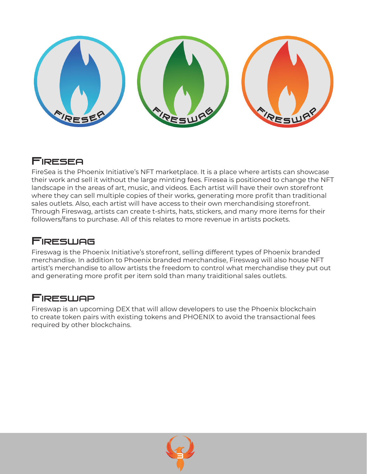

#### Firesea

FireSea is the Phoenix Initiative's NFT marketplace. It is a place where artists can showcase their work and sell it without the large minting fees. Firesea is positioned to change the NFT landscape in the areas of art, music, and videos. Each artist will have their own storefront where they can sell multiple copies of their works, generating more profit than traditional sales outlets. Also, each artist will have access to their own merchandising storefront. Through Fireswag, artists can create t-shirts, hats, stickers, and many more items for their followers/fans to purchase. All of this relates to more revenue in artists pockets.

#### **Fireswag**

Fireswag is the Phoenix Initiative's storefront, selling different types of Phoenix branded merchandise. In addition to Phoenix branded merchandise, Fireswag will also house NFT artist's merchandise to allow artists the freedom to control what merchandise they put out and generating more profit per item sold than many traiditional sales outlets.

#### **FIRESWAP**

Fireswap is an upcoming DEX that will allow developers to use the Phoenix blockchain to create token pairs with existing tokens and PHOENIX to avoid the transactional fees required by other blockchains.

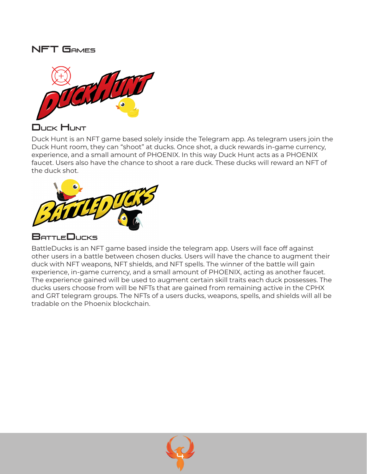#### NFT Games



Duck Hunt

Duck Hunt is an NFT game based solely inside the Telegram app. As telegram users join the Duck Hunt room, they can "shoot" at ducks. Once shot, a duck rewards in-game currency, experience, and a small amount of PHOENIX. In this way Duck Hunt acts as a PHOENIX faucet. Users also have the chance to shoot a rare duck. These ducks will reward an NFT of the duck shot.



#### BattleDucks

BattleDucks is an NFT game based inside the telegram app. Users will face off against other users in a battle between chosen ducks. Users will have the chance to augment their duck with NFT weapons, NFT shields, and NFT spells. The winner of the battle will gain experience, in-game currency, and a small amount of PHOENIX, acting as another faucet. The experience gained will be used to augment certain skill traits each duck possesses. The ducks users choose from will be NFTs that are gained from remaining active in the CPHX and GRT telegram groups. The NFTs of a users ducks, weapons, spells, and shields will all be tradable on the Phoenix blockchain.